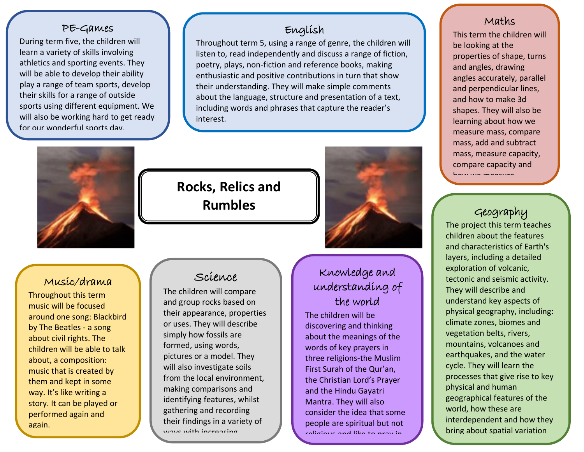### PE-Games

t for our wonderful sports day. During term five, the children will learn a variety of skills involving athletics and sporting events. They will be able to develop their ability play a range of team sports, develop their skills for a range of outside sports using different equipment. We will also be working hard to get ready

## English

Throughout term 5, using a range of genre, the children will listen to, read independently and discuss a range of fiction, poetry, plays, non-fiction and reference books, making enthusiastic and positive contributions in turn that show their understanding. They will make simple comments about the language, structure and presentation of a text, including words and phrases that capture the reader's interest.



# **Rocks, Relics and Rumbles**

**Year 3 - Topic Web - Term 5**



## Music/drama

Throughout this term music will be focused around one song: Blackbird by The Beatles - a song about civil rights. The children will be able to talk about, a composition: music that is created by them and kept in some way. It's like writing a story. It can be played or performed again and again.

## Science

The children will compare and group rocks based on their appearance, properties or uses. They will describe simply how fossils are formed, using words, pictures or a model. They will also investigate soils from the local environment, making comparisons and identifying features, whilst gathering and recording their findings in a variety of ways with incroasing

 $\overline{\phantom{a}}$ 

## Knowledge and understanding of the world

The children will be discovering and thinking about the meanings of the words of key prayers in three religions-the Muslim First Surah of the Qur'an, the Christian Lord's Prayer and the Hindu Gayatri Mantra. They will also consider the idea that some people are spiritual but not religious and like to pray in

their own way.

#### Maths

This term the children will be looking at the properties of shape, turns and angles, drawing angles accurately, parallel and perpendicular lines, and how to make 3d shapes. They will also be learning about how we measure mass, compare mass, add and subtract mass, measure capacity, compare capacity and how we measure

## Geography

temperature.

The project this term teaches children about the features and characteristics of Earth's layers, including a detailed exploration of volcanic, tectonic and seismic activity. They will describe and understand key aspects of physical geography, including: climate zones, biomes and vegetation belts, rivers, mountains, volcanoes and earthquakes, and the water cycle. They will learn the processes that give rise to key physical and human geographical features of the world, how these are interdependent and how they bring about spatial variation

and change over time.